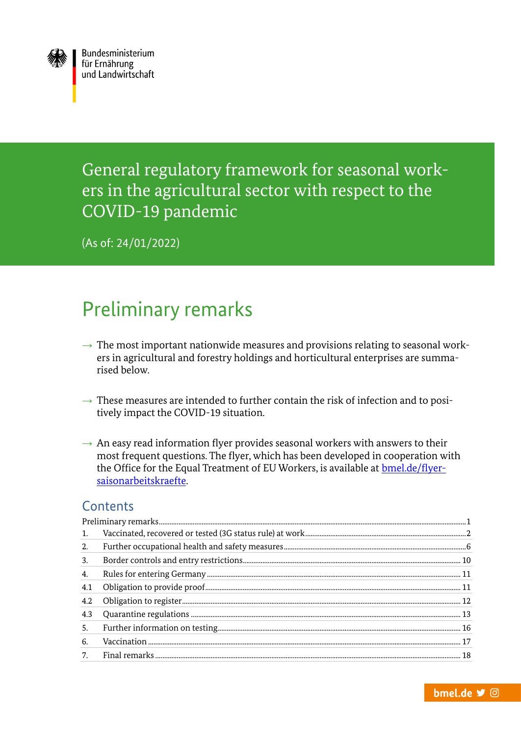

General regulatory framework for seasonal workers in the agricultural sector with respect to the COVID-19 pandemic

(As of: 24/01/2022)

# <span id="page-0-0"></span>Preliminary remarks

- $\rightarrow$  The most important nationwide measures and provisions relating to seasonal workers in agricultural and forestry holdings and horticultural enterprises are summarised below.
- $\rightarrow$  These measures are intended to further contain the risk of infection and to positively impact the COVID-19 situation.
- $\rightarrow$  An easy read information flyer provides seasonal workers with answers to their most frequent questions. The flyer, which has been developed in cooperation with the Office for the Equal Treatment of EU Workers, is available at [bmel.de/flyer](https://www.bmel.de/DE/themen/landwirtschaft/agrarsozialpolitik/informationen-saisonarbeitskraefte-corona.html)[saisonarbeitskraefte.](https://www.bmel.de/DE/themen/landwirtschaft/agrarsozialpolitik/informationen-saisonarbeitskraefte-corona.html)

#### **Contents**

| 1.  |  |
|-----|--|
| 2.  |  |
| 3.  |  |
| 4.  |  |
| 4.1 |  |
| 4.2 |  |
| 4.3 |  |
| 5.  |  |
| 6.  |  |
| 7.  |  |
|     |  |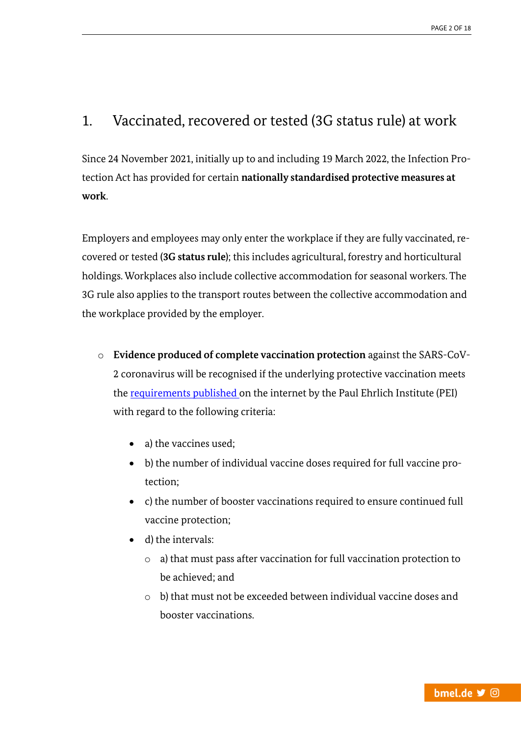# <span id="page-1-0"></span>1. Vaccinated, recovered or tested (3G status rule) at work

Since 24 November 2021, initially up to and including 19 March 2022, the Infection Protection Act has provided for certain **nationally standardised protective measures at work**.

Employers and employees may only enter the workplace if they are fully vaccinated, recovered or tested **(3G status rule)**; this includes agricultural, forestry and horticultural holdings. Workplaces also include collective accommodation for seasonal workers. The 3G rule also applies to the transport routes between the collective accommodation and the workplace provided by the employer.

- o **Evidence produced of complete vaccination protection** against the SARS-CoV-2 coronavirus will be recognised if the underlying protective vaccination meets th[e requirements published o](http://www.pei.de/impfstoffe/covid-19)n the internet by the Paul Ehrlich Institute (PEI) with regard to the following criteria:
	- a) the vaccines used;
	- b) the number of individual vaccine doses required for full vaccine protection;
	- c) the number of booster vaccinations required to ensure continued full vaccine protection;
	- d) the intervals:
		- o a) that must pass after vaccination for full vaccination protection to be achieved; and
		- o b) that must not be exceeded between individual vaccine doses and booster vaccinations.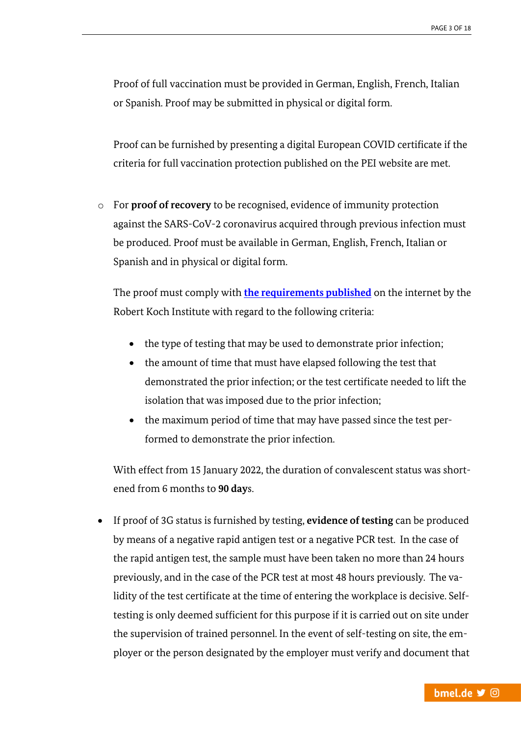Proof of full vaccination must be provided in German, English, French, Italian or Spanish. Proof may be submitted in physical or digital form.

Proof can be furnished by presenting a digital European COVID certificate if the criteria for full vaccination protection published on the PEI website are met.

o For **proof of recovery** to be recognised, evidence of immunity protection against the SARS-CoV-2 coronavirus acquired through previous infection must be produced. Proof must be available in German, English, French, Italian or Spanish and in physical or digital form.

The proof must comply with **[the requirements published](http://www.rki.de/covid-19-genesenennachweis)** on the internet by the Robert Koch Institute with regard to the following criteria:

- the type of testing that may be used to demonstrate prior infection;
- the amount of time that must have elapsed following the test that demonstrated the prior infection; or the test certificate needed to lift the isolation that was imposed due to the prior infection;
- the maximum period of time that may have passed since the test performed to demonstrate the prior infection.

With effect from 15 January 2022, the duration of convalescent status was shortened from 6 months to **90 day**s.

 If proof of 3G status is furnished by testing, **evidence of testing** can be produced by means of a negative rapid antigen test or a negative PCR test. In the case of the rapid antigen test, the sample must have been taken no more than 24 hours previously, and in the case of the PCR test at most 48 hours previously. The validity of the test certificate at the time of entering the workplace is decisive. Selftesting is only deemed sufficient for this purpose if it is carried out on site under the supervision of trained personnel. In the event of self-testing on site, the employer or the person designated by the employer must verify and document that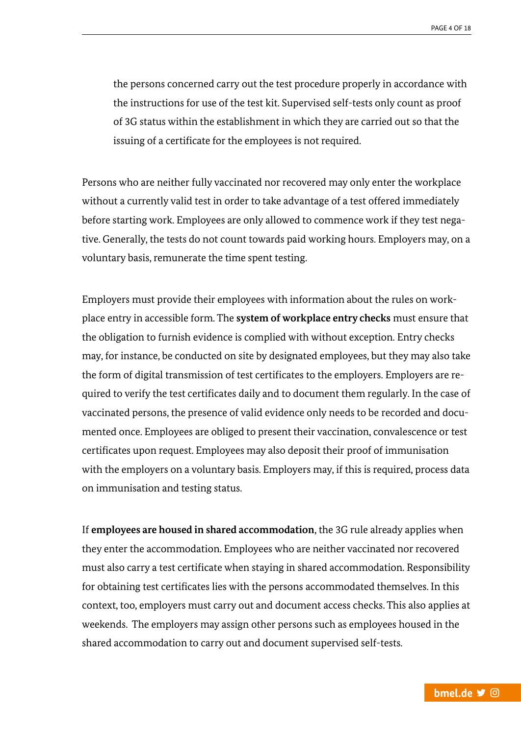the persons concerned carry out the test procedure properly in accordance with the instructions for use of the test kit. Supervised self-tests only count as proof of 3G status within the establishment in which they are carried out so that the issuing of a certificate for the employees is not required.

Persons who are neither fully vaccinated nor recovered may only enter the workplace without a currently valid test in order to take advantage of a test offered immediately before starting work. Employees are only allowed to commence work if they test negative. Generally, the tests do not count towards paid working hours. Employers may, on a voluntary basis, remunerate the time spent testing.

Employers must provide their employees with information about the rules on workplace entry in accessible form. The **system of workplace entry checks** must ensure that the obligation to furnish evidence is complied with without exception. Entry checks may, for instance, be conducted on site by designated employees, but they may also take the form of digital transmission of test certificates to the employers. Employers are required to verify the test certificates daily and to document them regularly. In the case of vaccinated persons, the presence of valid evidence only needs to be recorded and documented once. Employees are obliged to present their vaccination, convalescence or test certificates upon request. Employees may also deposit their proof of immunisation with the employers on a voluntary basis. Employers may, if this is required, process data on immunisation and testing status.

If **employees are housed in shared accommodation**, the 3G rule already applies when they enter the accommodation. Employees who are neither vaccinated nor recovered must also carry a test certificate when staying in shared accommodation. Responsibility for obtaining test certificates lies with the persons accommodated themselves. In this context, too, employers must carry out and document access checks. This also applies at weekends. The employers may assign other persons such as employees housed in the shared accommodation to carry out and document supervised self-tests.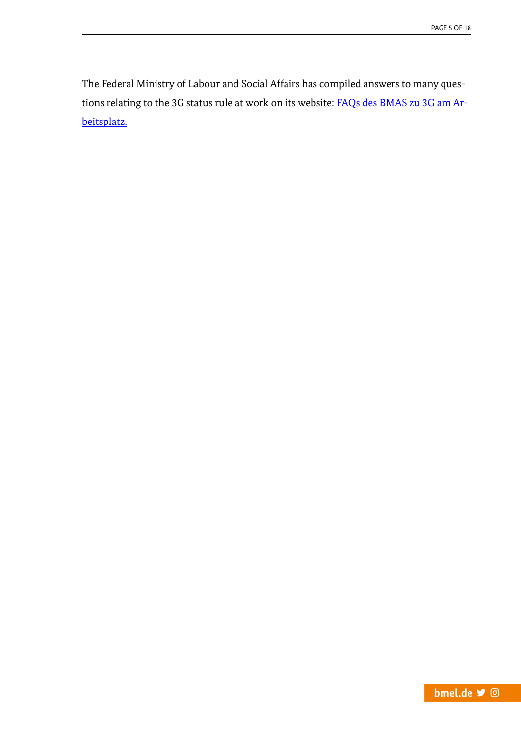<span id="page-4-0"></span>The Federal Ministry of Labour and Social Affairs has compiled answers to many questions relating to the 3G status rule at work on its website: **FAQs des BMAS zu 3G am Ar**[beitsplatz.](https://www.bmas.de/DE/Corona/Fragen-und-Antworten/Fragen-und-Antworten-Infektionsschutzgesetz/faq-infektionsschutzgesetz.html)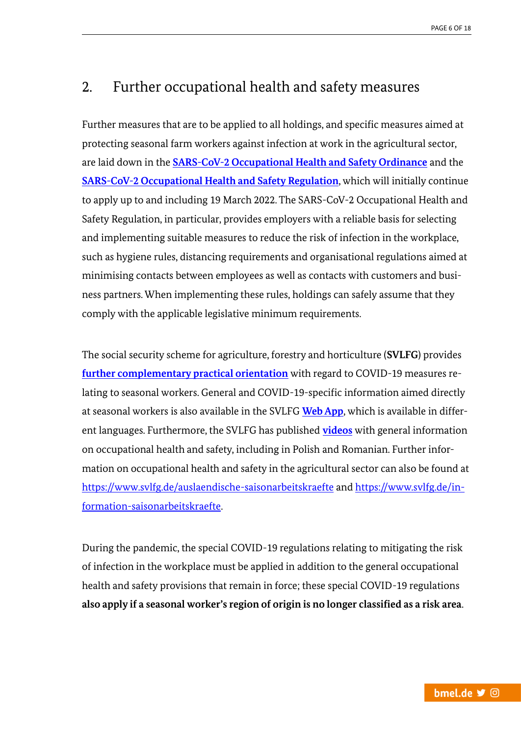#### 2. Further occupational health and safety measures

Further measures that are to be applied to all holdings, and specific measures aimed at protecting seasonal farm workers against infection at work in the agricultural sector, are laid down in the **[SARS-CoV-2 Occupational Health and Safety Ordinance](https://www.gesetze-im-internet.de/corona-arbschv_2021-07/BJNR617900021.html)** and the **[SARS-CoV-2 Occupational Health and Safety Regulation](https://www.baua.de/EN/Service/Legislative-texts-and-technical-rules/Rules/AR-CoV-2/AR-CoV-2.html)**, which will initially continue to apply up to and including 19 March 2022. The SARS-CoV-2 Occupational Health and Safety Regulation, in particular, provides employers with a reliable basis for selecting and implementing suitable measures to reduce the risk of infection in the workplace, such as hygiene rules, distancing requirements and organisational regulations aimed at minimising contacts between employees as well as contacts with customers and business partners. When implementing these rules, holdings can safely assume that they comply with the applicable legislative minimum requirements.

The social security scheme for agriculture, forestry and horticulture (**SVLFG**) provides **[further complementary practical orientation](https://www.svlfg.de/corona-saisonarbeit)** with regard to COVID-19 measures relating to seasonal workers. General and COVID-19-specific information aimed directly at seasonal workers is also available in the SVLFG **[Web App](https://www.agriwork-germany.de/webapp-saisonarbeit/)**, which is available in different languages. Furthermore, the SVLFG has published **[videos](https://www.youtube.com/playlist?list=PLxhmJE7PYUHSx0wGe8YJbol0-flgUQV-F)** with general information on occupational health and safety, including in Polish and Romanian. Further information on occupational health and safety in the agricultural sector can also be found at <https://www.svlfg.de/auslaendische-saisonarbeitskraefte> an[d https://www.svlfg.de/in](https://www.svlfg.de/information-saisonarbeitskraefte)[formation-saisonarbeitskraefte.](https://www.svlfg.de/information-saisonarbeitskraefte)

During the pandemic, the special COVID-19 regulations relating to mitigating the risk of infection in the workplace must be applied in addition to the general occupational health and safety provisions that remain in force; these special COVID-19 regulations **also apply if a seasonal worker's region of origin is no longer classified as a risk area**.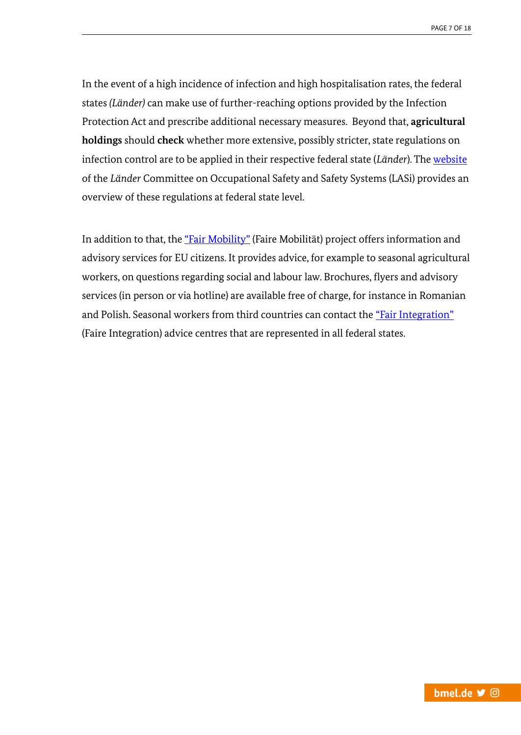In the event of a high incidence of infection and high hospitalisation rates, the federal states *(Länder)* can make use of further-reaching options provided by the Infection Protection Act and prescribe additional necessary measures. Beyond that, **agricultural holdings** should **check** whether more extensive, possibly stricter, state regulations on infection control are to be applied in their respective federal state (*Länder*). The [website](https://lasi-info.com/fuer-betriebe/informationen-zu-covid-19) of the *Länder* Committee on Occupational Safety and Safety Systems (LASi) provides an overview of these regulations at federal state level.

In addition to that, the ["Fair Mobility"](https://www.faire-mobilitaet.de/en) (Faire Mobilität) project offers information and advisory services for EU citizens. It provides advice, for example to seasonal agricultural workers, on questions regarding social and labour law. Brochures, flyers and advisory services (in person or via hotline) are available free of charge, for instance in Romanian and Polish. Seasonal workers from third countries can contact the ["Fair Integration"](https://www.faire-integration.de/en) (Faire Integration) advice centres that are represented in all federal states.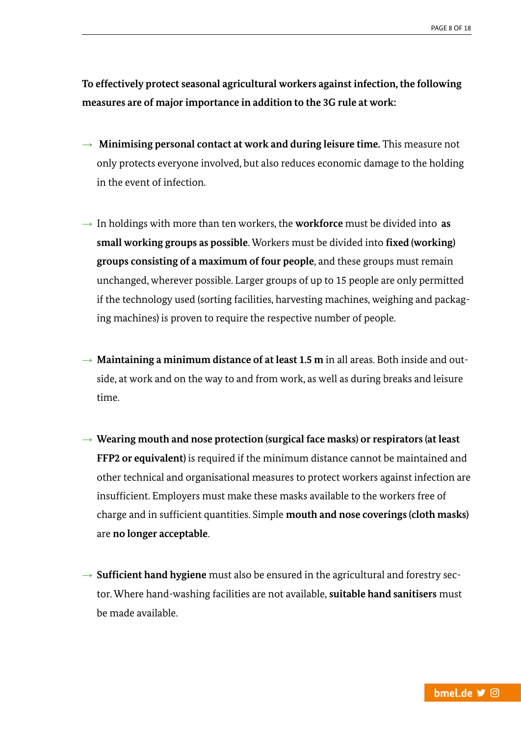**To effectively protect seasonal agricultural workers against infection, the following measures are of major importance in addition to the 3G rule at work:**

- $\rightarrow$  **Minimising personal contact at work and during leisure time.** This measure not only protects everyone involved, but also reduces economic damage to the holding in the event of infection.
- $\rightarrow$  In holdings with more than ten workers, the **workforce** must be divided into **as small working groups as possible**. Workers must be divided into **fixed (working) groups consisting of a maximum of four people**, and these groups must remain unchanged, wherever possible. Larger groups of up to 15 people are only permitted if the technology used (sorting facilities, harvesting machines, weighing and packaging machines) is proven to require the respective number of people.
- → **Maintaining a minimum distance of at least 1.5 m** in all areas. Both inside and outside, at work and on the way to and from work, as well as during breaks and leisure time.
- → **Wearing mouth and nose protection (surgical face masks) or respirators (at least FFP2 or equivalent)** is required if the minimum distance cannot be maintained and other technical and organisational measures to protect workers against infection are insufficient. Employers must make these masks available to the workers free of charge and in sufficient quantities. Simple **mouth and nose coverings (cloth masks)** are **no longer acceptable**.
- → **Sufficient hand hygiene** must also be ensured in the agricultural and forestry sector. Where hand-washing facilities are not available, **suitable hand sanitisers** must be made available.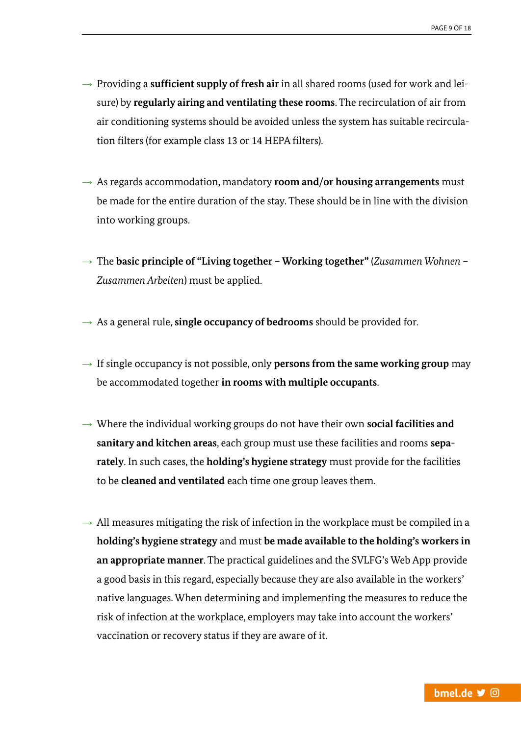- → Providing a **sufficient supply of fresh air** in all shared rooms (used for work and leisure) by **regularly airing and ventilating these rooms**. The recirculation of air from air conditioning systems should be avoided unless the system has suitable recirculation filters (for example class 13 or 14 HEPA filters).
- $\rightarrow$  As regards accommodation, mandatory **room and/or housing arrangements** must be made for the entire duration of the stay. These should be in line with the division into working groups.
- → The **basic principle of "Living together – Working together"** (*Zusammen Wohnen – Zusammen Arbeiten*) must be applied.
- $\rightarrow$  As a general rule, **single occupancy of bedrooms** should be provided for.
- $\rightarrow$  If single occupancy is not possible, only **persons from the same working group** may be accommodated together **in rooms with multiple occupants**.
- → Where the individual working groups do not have their own **social facilities and sanitary and kitchen areas**, each group must use these facilities and rooms **separately**. In such cases, the **holding's hygiene strategy** must provide for the facilities to be **cleaned and ventilated** each time one group leaves them.
- $\rightarrow$  All measures mitigating the risk of infection in the workplace must be compiled in a **holding's hygiene strategy** and must **be made available to the holding's workers in an appropriate manner**. The practical guidelines and the SVLFG's Web App provide a good basis in this regard, especially because they are also available in the workers' native languages. When determining and implementing the measures to reduce the risk of infection at the workplace, employers may take into account the workers' vaccination or recovery status if they are aware of it.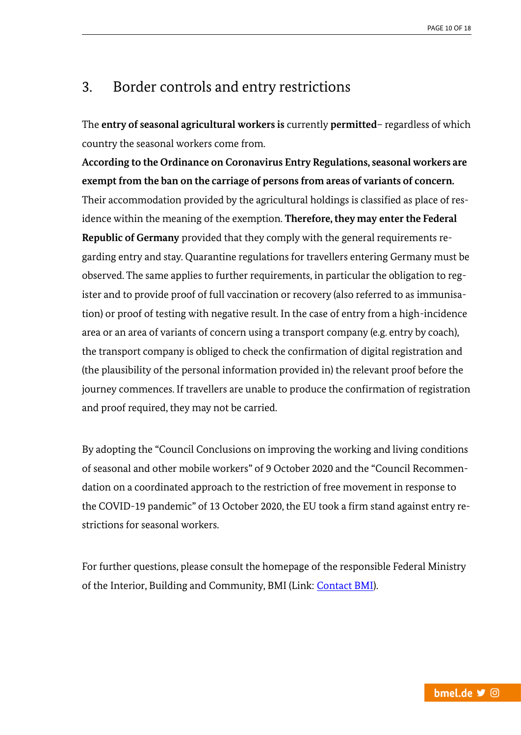#### <span id="page-9-0"></span>3. Border controls and entry restrictions

The **entry of seasonal agricultural workers is** currently **permitted**– regardless of which country the seasonal workers come from.

**According to the Ordinance on Coronavirus Entry Regulations, seasonal workers are exempt from the ban on the carriage of persons from areas of variants of concern.**  Their accommodation provided by the agricultural holdings is classified as place of residence within the meaning of the exemption. **Therefore, they may enter the Federal Republic of Germany** provided that they comply with the general requirements regarding entry and stay. Quarantine regulations for travellers entering Germany must be observed. The same applies to further requirements, in particular the obligation to register and to provide proof of full vaccination or recovery (also referred to as immunisation) or proof of testing with negative result. In the case of entry from a high-incidence area or an area of variants of concern using a transport company (e.g. entry by coach), the transport company is obliged to check the confirmation of digital registration and (the plausibility of the personal information provided in) the relevant proof before the journey commences. If travellers are unable to produce the confirmation of registration and proof required, they may not be carried.

By adopting the "Council Conclusions on improving the working and living conditions of seasonal and other mobile workers" of 9 October 2020 and the "Council Recommendation on a coordinated approach to the restriction of free movement in response to the COVID-19 pandemic" of 13 October 2020, the EU took a firm stand against entry restrictions for seasonal workers.

For further questions, please consult the homepage of the responsible Federal Ministry of the Interior, Building and Community, BMI (Link: [Contact BMI\)](https://www.bmi.bund.de/EN/service/contact/public-enquiry-service/public-enquiry-service-contact-node.html).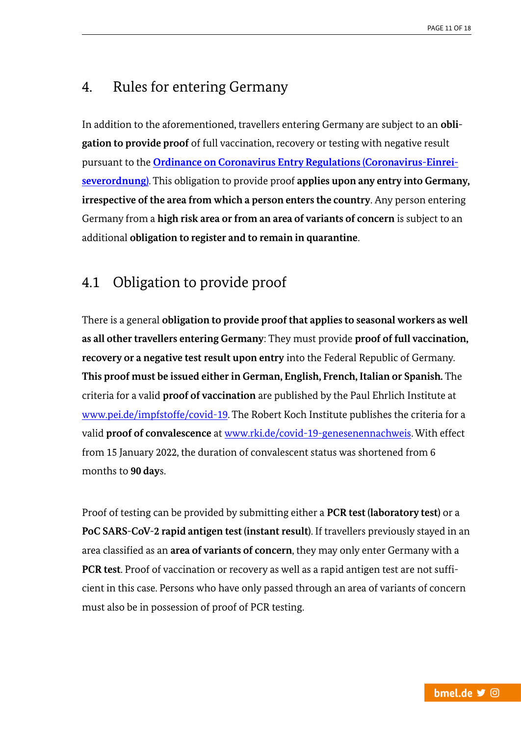## <span id="page-10-0"></span>4. Rules for entering Germany

In addition to the aforementioned, travellers entering Germany are subject to an **obligation to provide proof** of full vaccination, recovery or testing with negative result pursuant to the **[Ordinance on Coronavirus Entry Regulations \(Coronavirus-Einrei](https://www.bundesgesundheitsministerium.de/en/coronavirus/current-information-for-travellers.html)[severordnung\)](https://www.bundesgesundheitsministerium.de/en/coronavirus/current-information-for-travellers.html)**. This obligation to provide proof **applies upon any entry into Germany, irrespective of the area from which a person enters the country**. Any person entering Germany from a **high risk area or from an area of variants of concern** is subject to an additional **obligation to register and to remain in quarantine**.

# <span id="page-10-1"></span>4.1 Obligation to provide proof

There is a general **obligation to provide proof that applies to seasonal workers as well as all other travellers entering Germany**: They must provide **proof of full vaccination, recovery or a negative test result upon entry** into the Federal Republic of Germany. **This proof must be issued either in German, English, French, Italian or Spanish.** The criteria for a valid **proof of vaccination** are published by the Paul Ehrlich Institute at [www.pei.de/impfstoffe/covid-19.](https://www.pei.de/DE/newsroom/dossier/coronavirus/coronavirus-inhalt.html?nn=169730&cms_pos=3) The Robert Koch Institute publishes the criteria for a valid **proof of convalescence** at [www.rki.de/covid-19-genesenennachweis.](http://www.rki.de/covid-19-genesenennachweis) With effect from 15 January 2022, the duration of convalescent status was shortened from 6 months to **90 day**s.

Proof of testing can be provided by submitting either a **PCR test (laboratory test)** or a **PoC SARS-CoV-2 rapid antigen test (instant result)**. If travellers previously stayed in an area classified as an **area of variants of concern**, they may only enter Germany with a **PCR test**. Proof of vaccination or recovery as well as a rapid antigen test are not sufficient in this case. Persons who have only passed through an area of variants of concern must also be in possession of proof of PCR testing.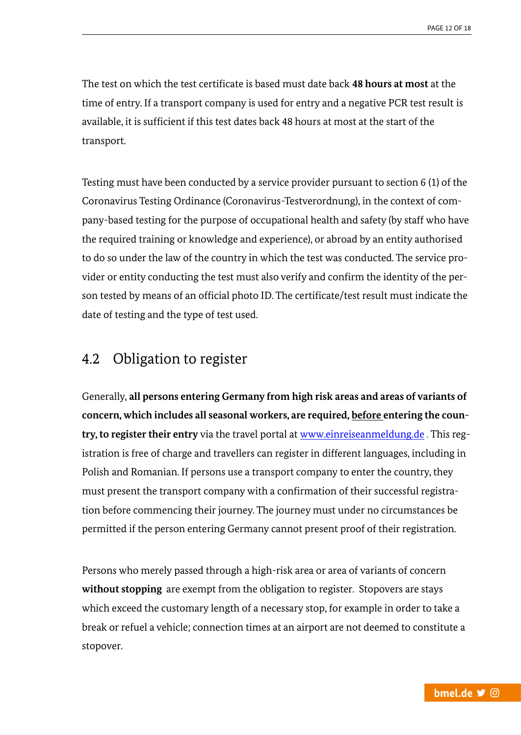The test on which the test certificate is based must date back **48 hours at most** at the time of entry. If a transport company is used for entry and a negative PCR test result is available, it is sufficient if this test dates back 48 hours at most at the start of the transport.

Testing must have been conducted by a service provider pursuant to section 6 (1) of the Coronavirus Testing Ordinance (Coronavirus-Testverordnung), in the context of company-based testing for the purpose of occupational health and safety (by staff who have the required training or knowledge and experience), or abroad by an entity authorised to do so under the law of the country in which the test was conducted. The service provider or entity conducting the test must also verify and confirm the identity of the person tested by means of an official photo ID. The certificate/test result must indicate the date of testing and the type of test used.

## <span id="page-11-0"></span>4.2 Obligation to register

Generally, **all persons entering Germany from high risk areas and areas of variants of concern, which includes all seasonal workers, are required, before entering the country, to register their entry** via the travel portal at [www.einreiseanmeldung.de](http://www.einreiseanmeldung.de/) . This registration is free of charge and travellers can register in different languages, including in Polish and Romanian. If persons use a transport company to enter the country, they must present the transport company with a confirmation of their successful registration before commencing their journey. The journey must under no circumstances be permitted if the person entering Germany cannot present proof of their registration.

Persons who merely passed through a high-risk area or area of variants of concern **without stopping** are exempt from the obligation to register. Stopovers are stays which exceed the customary length of a necessary stop, for example in order to take a break or refuel a vehicle; connection times at an airport are not deemed to constitute a stopover.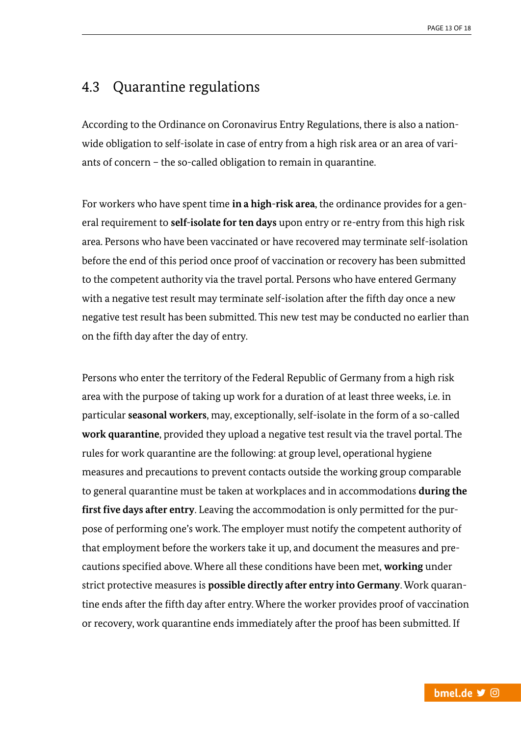# <span id="page-12-0"></span>4.3 Quarantine regulations

According to the Ordinance on Coronavirus Entry Regulations, there is also a nationwide obligation to self-isolate in case of entry from a high risk area or an area of variants of concern – the so-called obligation to remain in quarantine.

For workers who have spent time **in a high-risk area**, the ordinance provides for a general requirement to **self-isolate for ten days** upon entry or re-entry from this high risk area. Persons who have been vaccinated or have recovered may terminate self-isolation before the end of this period once proof of vaccination or recovery has been submitted to the competent authority via the travel portal. Persons who have entered Germany with a negative test result may terminate self-isolation after the fifth day once a new negative test result has been submitted. This new test may be conducted no earlier than on the fifth day after the day of entry.

Persons who enter the territory of the Federal Republic of Germany from a high risk area with the purpose of taking up work for a duration of at least three weeks, i.e. in particular **seasonal workers**, may, exceptionally, self-isolate in the form of a so-called **work quarantine**, provided they upload a negative test result via the travel portal. The rules for work quarantine are the following: at group level, operational hygiene measures and precautions to prevent contacts outside the working group comparable to general quarantine must be taken at workplaces and in accommodations **during the first five days after entry**. Leaving the accommodation is only permitted for the purpose of performing one's work. The employer must notify the competent authority of that employment before the workers take it up, and document the measures and precautions specified above. Where all these conditions have been met, **working** under strict protective measures is **possible directly after entry into Germany**. Work quarantine ends after the fifth day after entry. Where the worker provides proof of vaccination or recovery, work quarantine ends immediately after the proof has been submitted. If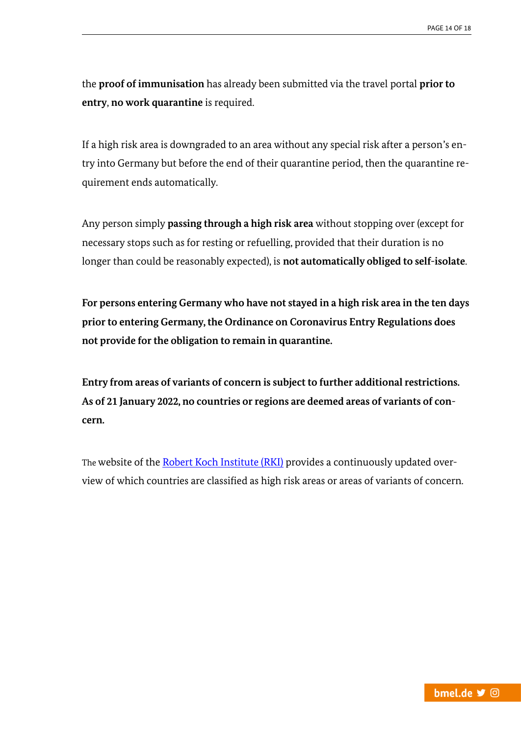the **proof of immunisation** has already been submitted via the travel portal **prior to entry**, **no work quarantine** is required.

If a high risk area is downgraded to an area without any special risk after a person's entry into Germany but before the end of their quarantine period, then the quarantine requirement ends automatically.

Any person simply **passing through a high risk area** without stopping over (except for necessary stops such as for resting or refuelling, provided that their duration is no longer than could be reasonably expected), is **not automatically obliged to self-isolate**.

**For persons entering Germany who have not stayed in a high risk area in the ten days prior to entering Germany, the Ordinance on Coronavirus Entry Regulations does not provide for the obligation to remain in quarantine.**

**Entry from areas of variants of concern is subject to further additional restrictions. As of 21 January 2022, no countries or regions are deemed areas of variants of concern.**

The website of th[e Robert Koch Institute \(RKI\)](https://www.rki.de/DE/Content/InfAZ/N/Neuartiges_Coronavirus/Transport/Archiv_Risikogebiete/Risikogebiete_aktuell_en.pdf?__blob=publicationFile) provides a continuously updated overview of which countries are classified as high risk areas or areas of variants of concern.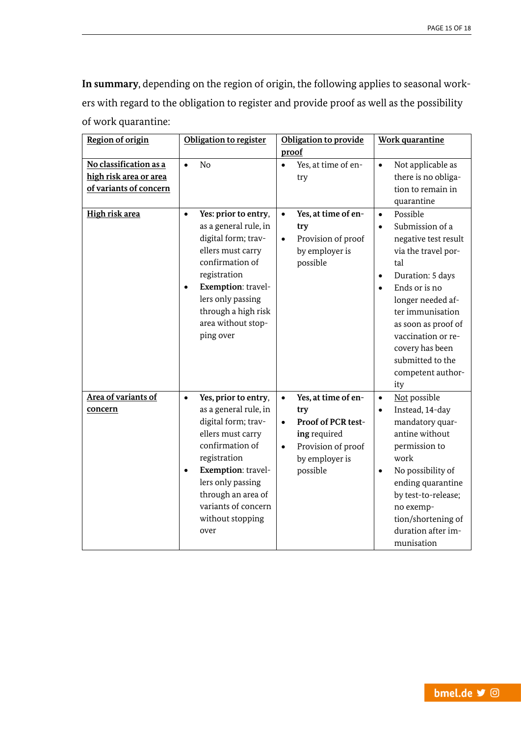**In summary**, depending on the region of origin, the following applies to seasonal workers with regard to the obligation to register and provide proof as well as the possibility of work quarantine:

| <b>Region of origin</b>                                                    | Obligation to register                                                                                                                                                                                                                                                     | Obligation to provide                                                                                                                                       | <b>Work quarantine</b>                                                                                                                                                                                                                                                                                                              |
|----------------------------------------------------------------------------|----------------------------------------------------------------------------------------------------------------------------------------------------------------------------------------------------------------------------------------------------------------------------|-------------------------------------------------------------------------------------------------------------------------------------------------------------|-------------------------------------------------------------------------------------------------------------------------------------------------------------------------------------------------------------------------------------------------------------------------------------------------------------------------------------|
|                                                                            |                                                                                                                                                                                                                                                                            | proof                                                                                                                                                       |                                                                                                                                                                                                                                                                                                                                     |
| No classification as a<br>high risk area or area<br>of variants of concern | No<br>$\bullet$                                                                                                                                                                                                                                                            | Yes, at time of en-<br>$\bullet$<br>try                                                                                                                     | Not applicable as<br>$\bullet$<br>there is no obliga-<br>tion to remain in<br>quarantine                                                                                                                                                                                                                                            |
| High risk area                                                             | Yes: prior to entry,<br>$\bullet$<br>as a general rule, in<br>digital form; trav-<br>ellers must carry<br>confirmation of<br>registration<br>Exemption: travel-<br>$\bullet$<br>lers only passing<br>through a high risk<br>area without stop-<br>ping over                | Yes, at time of en-<br>$\bullet$<br>try<br>Provision of proof<br>$\bullet$<br>by employer is<br>possible                                                    | Possible<br>$\bullet$<br>Submission of a<br>$\bullet$<br>negative test result<br>via the travel por-<br>tal<br>Duration: 5 days<br>$\bullet$<br>Ends or is no<br>$\bullet$<br>longer needed af-<br>ter immunisation<br>as soon as proof of<br>vaccination or re-<br>covery has been<br>submitted to the<br>competent author-<br>ity |
| Area of variants of<br>concern                                             | Yes, prior to entry,<br>$\bullet$<br>as a general rule, in<br>digital form; trav-<br>ellers must carry<br>confirmation of<br>registration<br>Exemption: travel-<br>$\bullet$<br>lers only passing<br>through an area of<br>variants of concern<br>without stopping<br>over | Yes, at time of en-<br>$\bullet$<br>try<br>Proof of PCR test-<br>$\bullet$<br>ing required<br>Provision of proof<br>$\bullet$<br>by employer is<br>possible | Not possible<br>$\bullet$<br>Instead, 14-day<br>$\bullet$<br>mandatory quar-<br>antine without<br>permission to<br>work<br>No possibility of<br>$\bullet$<br>ending quarantine<br>by test-to-release;<br>no exemp-<br>tion/shortening of<br>duration after im-<br>munisation                                                        |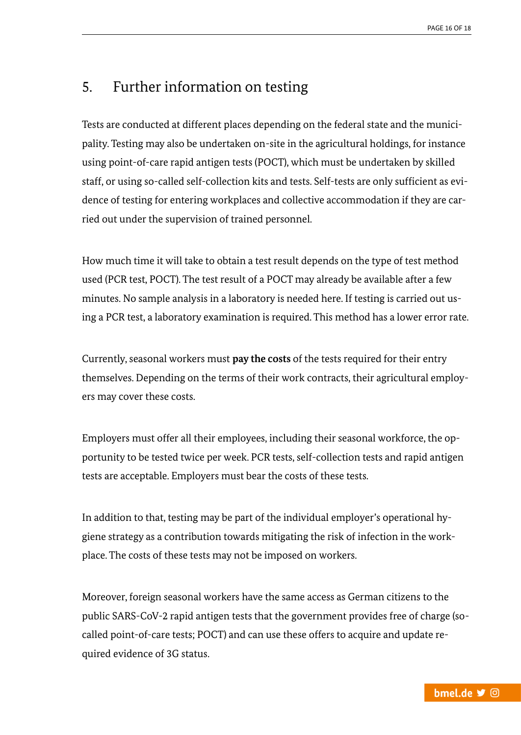# <span id="page-15-0"></span>5. Further information on testing

Tests are conducted at different places depending on the federal state and the municipality. Testing may also be undertaken on-site in the agricultural holdings, for instance using point-of-care rapid antigen tests (POCT), which must be undertaken by skilled staff, or using so-called self-collection kits and tests. Self-tests are only sufficient as evidence of testing for entering workplaces and collective accommodation if they are carried out under the supervision of trained personnel.

How much time it will take to obtain a test result depends on the type of test method used (PCR test, POCT). The test result of a POCT may already be available after a few minutes. No sample analysis in a laboratory is needed here. If testing is carried out using a PCR test, a laboratory examination is required. This method has a lower error rate.

Currently, seasonal workers must **pay the costs** of the tests required for their entry themselves. Depending on the terms of their work contracts, their agricultural employers may cover these costs.

Employers must offer all their employees, including their seasonal workforce, the opportunity to be tested twice per week. PCR tests, self-collection tests and rapid antigen tests are acceptable. Employers must bear the costs of these tests.

In addition to that, testing may be part of the individual employer's operational hygiene strategy as a contribution towards mitigating the risk of infection in the workplace. The costs of these tests may not be imposed on workers.

Moreover, foreign seasonal workers have the same access as German citizens to the public SARS-CoV-2 rapid antigen tests that the government provides free of charge (socalled point-of-care tests; POCT) and can use these offers to acquire and update required evidence of 3G status.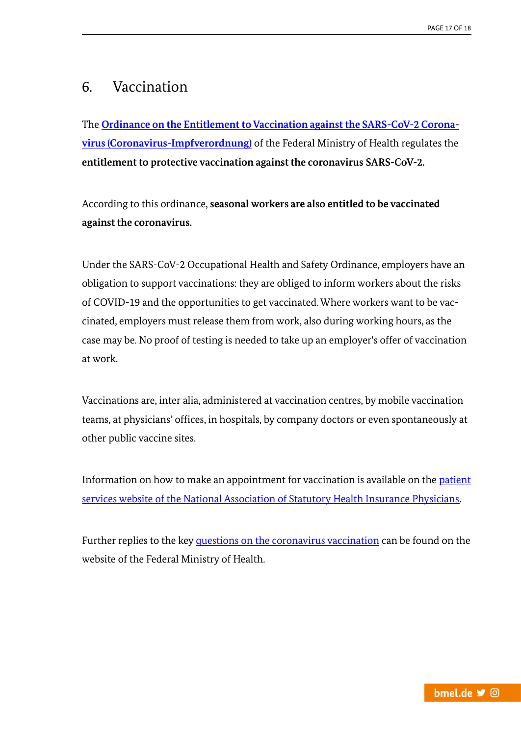# <span id="page-16-0"></span>6. Vaccination

The **[Ordinance on the Entitlement to Vaccination against the SARS-CoV-2 Corona](https://www.gesetze-im-internet.de/coronaimpfv_2021-09/BJNR624300021.html)[virus \(Coronavirus-Impfverordnung\)](https://www.gesetze-im-internet.de/coronaimpfv_2021-09/BJNR624300021.html)** of the Federal Ministry of Health regulates the **entitlement to protective vaccination against the coronavirus SARS-CoV-2.**

According to this ordinance, **seasonal workers are also entitled to be vaccinated against the coronavirus.**

Under the SARS-CoV-2 Occupational Health and Safety Ordinance, employers have an obligation to support vaccinations: they are obliged to inform workers about the risks of COVID-19 and the opportunities to get vaccinated. Where workers want to be vaccinated, employers must release them from work, also during working hours, as the case may be. No proof of testing is needed to take up an employer's offer of vaccination at work.

Vaccinations are, inter alia, administered at vaccination centres, by mobile vaccination teams, at physicians' offices, in hospitals, by company doctors or even spontaneously at other public vaccine sites.

Information on how to make an appointment for vaccination is available on the [patient](https://www.116117.de/de/corona-impfung.php)  [services website of the National Association of Statutory Health Insurance Physicians.](https://www.116117.de/de/corona-impfung.php)

Further replies to the ke[y questions on the coronavirus vaccination](https://www.bundesgesundheitsministerium.de/fileadmin/Dateien/3_Downloads/C/Coronavirus/Verordnungen/CoronaImpfV_EN_080221.pdf) can be found on the website of the Federal Ministry of Health.